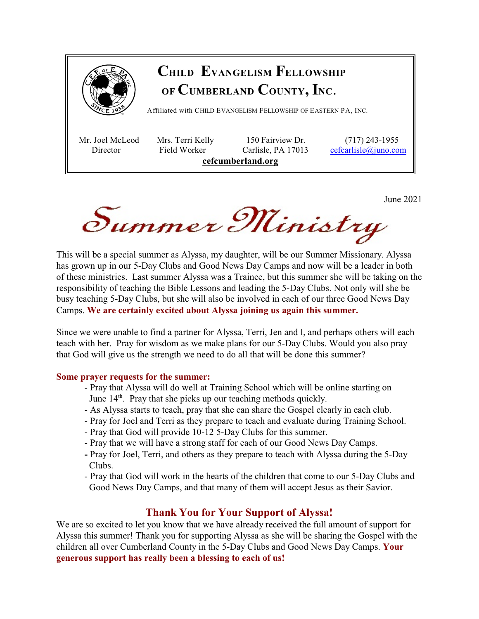

Summer Ministry

This will be a special summer as Alyssa, my daughter, will be our Summer Missionary. Alyssa has grown up in our 5-Day Clubs and Good News Day Camps and now will be a leader in both of these ministries. Last summer Alyssa was a Trainee, but this summer she will be taking on the responsibility of teaching the Bible Lessons and leading the 5-Day Clubs. Not only will she be busy teaching 5-Day Clubs, but she will also be involved in each of our three Good News Day Camps. **We are certainly excited about Alyssa joining us again this summer.** 

Since we were unable to find a partner for Alyssa, Terri, Jen and I, and perhaps others will each teach with her. Pray for wisdom as we make plans for our 5-Day Clubs. Would you also pray that God will give us the strength we need to do all that will be done this summer?

#### **Some prayer requests for the summer:**

- Pray that Alyssa will do well at Training School which will be online starting on June  $14<sup>th</sup>$ . Pray that she picks up our teaching methods quickly.
	- As Alyssa starts to teach, pray that she can share the Gospel clearly in each club.
	- Pray for Joel and Terri as they prepare to teach and evaluate during Training School.
	- Pray that God will provide 10-12 5-Day Clubs for this summer.
	- Pray that we will have a strong staff for each of our Good News Day Camps.
	- Pray for Joel, Terri, and others as they prepare to teach with Alyssa during the 5-Day Clubs.
	- Pray that God will work in the hearts of the children that come to our 5-Day Clubs and Good News Day Camps, and that many of them will accept Jesus as their Savior.

### **Thank You for Your Support of Alyssa!**

We are so excited to let you know that we have already received the full amount of support for Alyssa this summer! Thank you for supporting Alyssa as she will be sharing the Gospel with the children all over Cumberland County in the 5-Day Clubs and Good News Day Camps. **Your generous support has really been a blessing to each of us!**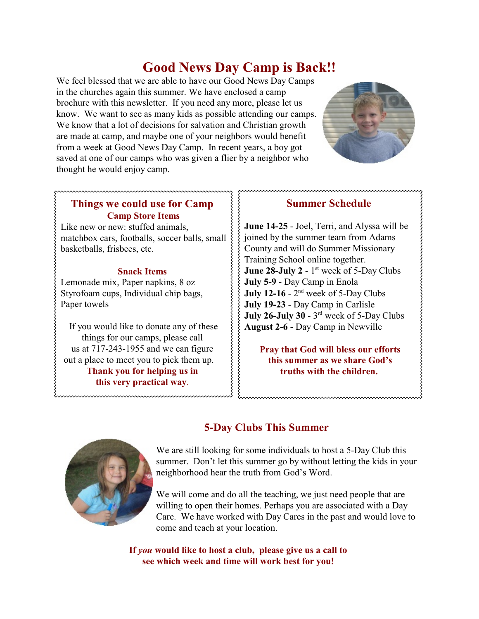# **Good News Day Camp is Back!!**

We feel blessed that we are able to have our Good News Day Camps in the churches again this summer. We have enclosed a camp brochure with this newsletter. If you need any more, please let us know. We want to see as many kids as possible attending our camps. We know that a lot of decisions for salvation and Christian growth are made at camp, and maybe one of your neighbors would benefit from a week at Good News Day Camp. In recent years, a boy got saved at one of our camps who was given a flier by a neighbor who thought he would enjoy camp.



#### **Things we could use for Camp Camp Store Items**

Like new or new: stuffed animals, matchbox cars, footballs, soccer balls, small basketballs, frisbees, etc.

#### **Snack Items**

Lemonade mix, Paper napkins, 8 oz Styrofoam cups, Individual chip bags, Paper towels

If you would like to donate any of these things for our camps, please call us at 717-243-1955 and we can figure out a place to meet you to pick them up. **Thank you for helping us in this very practical way**.

### **Summer Schedule**

**June 14-25** - Joel, Terri, and Alyssa will be joined by the summer team from Adams County and will do Summer Missionary Training School online together. **June 28-July 2** -  $1<sup>st</sup>$  week of 5-Day Clubs **July 5-9** - Day Camp in Enola **July 12-16** -  $2<sup>nd</sup>$  week of 5-Day Clubs **July 19-23** - Day Camp in Carlisle **July 26-July 30 -**  $3<sup>rd</sup>$  **week of 5-Day Clubs August 2-6** - Day Camp in Newville

**Pray that God will bless our efforts this summer as we share God's truths with the children.** 



## **5-Day Clubs This Summer**

We are still looking for some individuals to host a 5-Day Club this summer. Don't let this summer go by without letting the kids in your neighborhood hear the truth from God's Word.

We will come and do all the teaching, we just need people that are willing to open their homes. Perhaps you are associated with a Day Care. We have worked with Day Cares in the past and would love to come and teach at your location.

**If** *you* **would like to host a club, please give us a call to see which week and time will work best for you!**